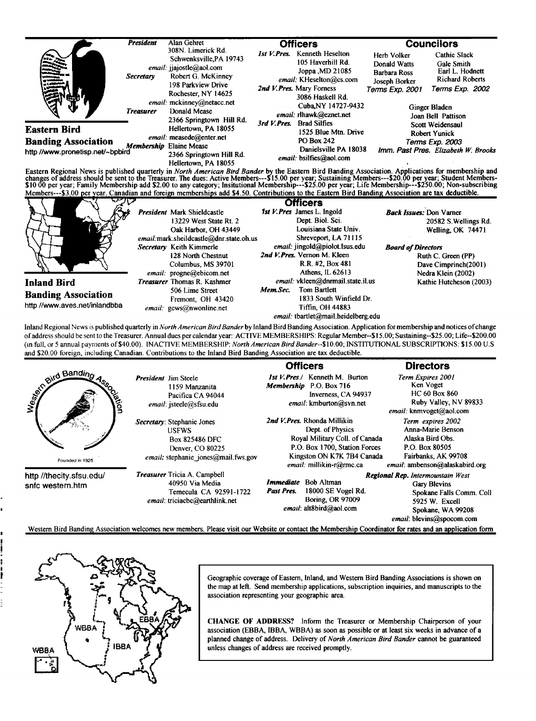|                                                                                                                                                                                                                                                                                                                                                                                                                                                                                                                                                                                                                                 | <b>President</b>                     | Alan Gehret                                                                                                                                                                                                                                                                                           |             | <b>Officers</b>                                                                                                                                                                                                                                                                                  |                                                                                        | <b>Councilors</b>                                                                                                                                                                                                                              |
|---------------------------------------------------------------------------------------------------------------------------------------------------------------------------------------------------------------------------------------------------------------------------------------------------------------------------------------------------------------------------------------------------------------------------------------------------------------------------------------------------------------------------------------------------------------------------------------------------------------------------------|--------------------------------------|-------------------------------------------------------------------------------------------------------------------------------------------------------------------------------------------------------------------------------------------------------------------------------------------------------|-------------|--------------------------------------------------------------------------------------------------------------------------------------------------------------------------------------------------------------------------------------------------------------------------------------------------|----------------------------------------------------------------------------------------|------------------------------------------------------------------------------------------------------------------------------------------------------------------------------------------------------------------------------------------------|
| <b>Eastern Bird</b><br><b>Banding Association</b><br>http //www.pronetisp.net/~bpbird                                                                                                                                                                                                                                                                                                                                                                                                                                                                                                                                           | <b>Secretary</b><br><b>Treasurer</b> | 308N. Limerick Rd.<br>Schwenksville, PA 19743<br>email: jjajostle@aol.com<br>Robert G. McKinney<br>198 Parkview Drive<br>Rochester, NY 14625<br>email: mckinney@netacc.net<br>Donald Mease<br>2366 Springtown Hill Rd.<br>Hellertown, PA 18055<br>email: measede@enter.net<br>Membership Elaine Mease | 1st V.Pres. | <b>Kenneth Heselton</b><br>105 Haverhill Rd.<br>Joppa , MD 21085<br>email: KHeselton@cs.com<br>2nd V. Pres. Mary Forness<br>3086 Haskell Rd.<br>Cuba.NY 14727-9432<br>email: rlhawk@eznet.net<br>3rd V. Pres. Brad Silfies<br>1525 Blue Mtn. Drive<br><b>PO Box 242</b><br>Danielsville PA 18038 | Herb Volker<br>Donald Watts<br><b>Barbara Ross</b><br>Joseph Borker<br>Terms Exp. 2001 | <b>Cathie Slack</b><br>Gale Smith<br>Earl L. Hodnett<br><b>Richard Roberts</b><br>Terms Exp. 2002<br>Ginger Bladen<br>Joan Bell Pattison<br>Scott Weidensaul<br><b>Robert Yunick</b><br>Terms Exp. 2003<br>Imm. Past Pres. Elizabeth W. Brooks |
| Eastern Regional News is published quarterly in North American Bird Bander by the Eastern Bird Banding Association. Applications for membership and<br>changes of address should be sent to the Treasurer. The dues: Active Members---\$15.00 per year; Sustaining Members---\$20.00 per year; Student Members-<br>\$10.00 per year; Family Membership add \$2.00 to any category; Insitutional Membership---\$25.00 per year; Life Membership---\$250.00; Non-subscribing<br>Members---\$3.00 per year. Canadian and foreign memberships add \$4.50. Contributions to the Eastern Bird Banding Association are tax deductible. |                                      | 2366 Springtown Hill Rd.<br>Hellertown, PA 18055                                                                                                                                                                                                                                                      |             | email: bsilfies@aol.com                                                                                                                                                                                                                                                                          |                                                                                        |                                                                                                                                                                                                                                                |
|                                                                                                                                                                                                                                                                                                                                                                                                                                                                                                                                                                                                                                 |                                      | President Mark Shieldcastle<br>13229 West State Rt. 2<br>Oak Harbor, OH 43449<br>email: mark.sheildcastle@dnr.state.oh.us                                                                                                                                                                             |             | <b>Officers</b><br>1st V. Pres James L. Ingold<br>Dept. Biol. Sci.<br>Louisiana State Univ.<br>Shreveport, LA 71115                                                                                                                                                                              | <b>Back Issues: Don Varner</b>                                                         | 20582 S. Wellings Rd.<br>Welling, OK 74471                                                                                                                                                                                                     |
|                                                                                                                                                                                                                                                                                                                                                                                                                                                                                                                                                                                                                                 |                                      | Secretary Keith Kimmerle<br>128 North Chestnut<br>Columbus, MS 39701<br>email: progne@ebicom.net                                                                                                                                                                                                      |             | email: jingold@piolot.Isus.edu<br>2nd V.Pres. Vernon M. Kleen<br>R.R. #2, Box 481<br>Athens, IL 62613                                                                                                                                                                                            | <b>Board of Directors</b>                                                              | Ruth C. Green (PP)<br>Dave Cimprinch(2001)<br>Nedra Klein (2002)                                                                                                                                                                               |
|                                                                                                                                                                                                                                                                                                                                                                                                                                                                                                                                                                                                                                 |                                      |                                                                                                                                                                                                                                                                                                       |             | email. vkleen@dnrmail.state.il.us                                                                                                                                                                                                                                                                |                                                                                        | Kathie Hutcheson (2003)                                                                                                                                                                                                                        |

**oœaddress should be sento the Treasurer. Annual dues per calendar year: ACTIVE MEMBERSHIPS: Regular Member--\$15.00; Sustaining--S25.00; Life--S200.00 (In full, or 5 annual payments of \$40.00). INACT1VE MEMBERSHIP: North American BirdBander--\$10.00; INSTITUTIONAL SUBSCRIPTIONS: \$15.00 U.S and \$20.00 foreign, including Canadian. Contributions to the Inland Bird Banding Association are tax deductible.** 

|                                              |                                                                                                                                                         | <b>Officers</b>                                                                                                                                                              | <b>Directors</b>                                                                                                                                        |
|----------------------------------------------|---------------------------------------------------------------------------------------------------------------------------------------------------------|------------------------------------------------------------------------------------------------------------------------------------------------------------------------------|---------------------------------------------------------------------------------------------------------------------------------------------------------|
| even ond Banding<br>و<br>و                   | <b>President</b> Jim Steele<br>1159 Manzanita<br>Pacifica CA 94044<br>email: jsteele@sfsu.edu                                                           | <b>Ist V. Pres./</b> Kenneth M. Burton<br>P.O. Box 716<br>Membership<br>Inverness, CA 94937<br>email: kmburton@svn.net                                                       | Term Expires 2001<br>Ken Voget<br><b>HC 60 Box 860</b><br>Ruby Valley, NV 89833<br>email: knmvoget@aol.com                                              |
| Founded in 1925                              | Secretary: Stephanie Jones<br><b>USFWS</b><br><b>Box 825486 DFC</b><br>Denver, CO 80225<br><i>email:</i> stephanie jones@mail.fws.gov                   | 2nd V.Pres. Rhonda Millikin<br>Dept. of Physics<br>Royal Military Coll. of Canada<br>P.O. Box 1700, Station Forces<br>Kingston ON K7K 7B4 Canada<br>email: millikin-r@rmc.ca | Term expires 2002<br>Anna-Marie Benson<br>Alaska Bird Obs.<br>P.O. Box 80505<br>Fairbanks, AK 99708<br>email: ambenson@alaskabird.org                   |
| http //thecity.sfsu.edu/<br>snfc western.htm | <b>Treasurer</b> Tricia A. Campbell<br>40950 Via Media<br>Temecula CA 92591-1722<br>email: triciacbc@earthlink.net                                      | <i>Immediate</i> Bob Altman<br>Past Pres.<br>18000 SE Vogel Rd.<br><b>Boring, OR 97009</b><br>email: alt8bird@aol.com                                                        | <b>Regional Rep.</b> Intermountain West<br>Gary Blevins<br>Spokane Falls Comm. Coll<br>5925 W. Excell<br>Spokane, WA 99208<br>email: blevins@spocom.com |
|                                              | Western Bird Banding Association welcomes new members. Please visit our Website or contact the Membership Coordinator for rates and an application form |                                                                                                                                                                              |                                                                                                                                                         |



**Geographic coverage of Eastern, Inland, and Westem Bird Banding Associations is shown on the map at left. Send membership applications, subscription inquiries, and manuscripts to the association representing your geographic area.** 

**CHANGE OF ADDRESS? Inform the Treasurer or Membership Chairperson of your association (EBBA, IBBA, WBBA) as soon as possible or at least six weeks in advance of a planned change of address. Delivery of North American Bird Bander cannot be guaranteed unless changes of address are received promptly.**